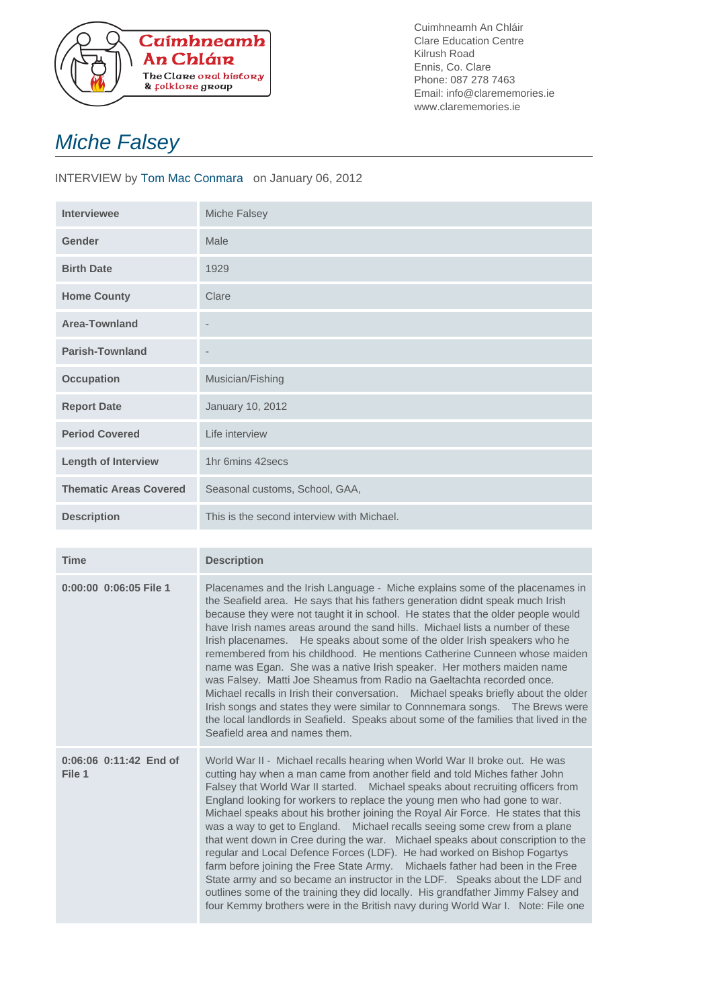

Cuimhneamh An Chláir Clare Education Centre Kilrush Road Ennis, Co. Clare Phone: 087 278 7463 Email: info@clarememories.ie www.clarememories.ie

## Miche Falsey

## INTERVIEW by Tom Mac Conmara on January 06, 2012

| <b>Interviewee</b>            | Miche Falsey                               |
|-------------------------------|--------------------------------------------|
| <b>Gender</b>                 | Male                                       |
| <b>Birth Date</b>             | 1929                                       |
| <b>Home County</b>            | Clare                                      |
| <b>Area-Townland</b>          | $\overline{\phantom{a}}$                   |
| <b>Parish-Townland</b>        | $\overline{\phantom{a}}$                   |
| <b>Occupation</b>             | Musician/Fishing                           |
| <b>Report Date</b>            | January 10, 2012                           |
| <b>Period Covered</b>         | Life interview                             |
| <b>Length of Interview</b>    | 1hr 6mins 42 secs                          |
| <b>Thematic Areas Covered</b> | Seasonal customs, School, GAA,             |
| <b>Description</b>            | This is the second interview with Michael. |

| <b>Time</b>                          | <b>Description</b>                                                                                                                                                                                                                                                                                                                                                                                                                                                                                                                                                                                                                                                                                                                                                                                                                                                                                                                                                                                |
|--------------------------------------|---------------------------------------------------------------------------------------------------------------------------------------------------------------------------------------------------------------------------------------------------------------------------------------------------------------------------------------------------------------------------------------------------------------------------------------------------------------------------------------------------------------------------------------------------------------------------------------------------------------------------------------------------------------------------------------------------------------------------------------------------------------------------------------------------------------------------------------------------------------------------------------------------------------------------------------------------------------------------------------------------|
| 0:00:00 0:06:05 File 1               | Placenames and the Irish Language - Miche explains some of the placenames in<br>the Seafield area. He says that his fathers generation didnt speak much Irish<br>because they were not taught it in school. He states that the older people would<br>have Irish names areas around the sand hills. Michael lists a number of these<br>Irish placenames. He speaks about some of the older Irish speakers who he<br>remembered from his childhood. He mentions Catherine Cunneen whose maiden<br>name was Egan. She was a native Irish speaker. Her mothers maiden name<br>was Falsey. Matti Joe Sheamus from Radio na Gaeltachta recorded once.<br>Michael recalls in Irish their conversation. Michael speaks briefly about the older<br>Irish songs and states they were similar to Connnemara songs.  The Brews were<br>the local landlords in Seafield. Speaks about some of the families that lived in the<br>Seafield area and names them.                                                  |
| $0:06:06$ $0:11:42$ End of<br>File 1 | World War II - Michael recalls hearing when World War II broke out. He was<br>cutting hay when a man came from another field and told Miches father John<br>Falsey that World War II started. Michael speaks about recruiting officers from<br>England looking for workers to replace the young men who had gone to war.<br>Michael speaks about his brother joining the Royal Air Force. He states that this<br>was a way to get to England. Michael recalls seeing some crew from a plane<br>that went down in Cree during the war. Michael speaks about conscription to the<br>regular and Local Defence Forces (LDF). He had worked on Bishop Fogartys<br>farm before joining the Free State Army. Michaels father had been in the Free<br>State army and so became an instructor in the LDF. Speaks about the LDF and<br>outlines some of the training they did locally. His grandfather Jimmy Falsey and<br>four Kemmy brothers were in the British navy during World War I. Note: File one |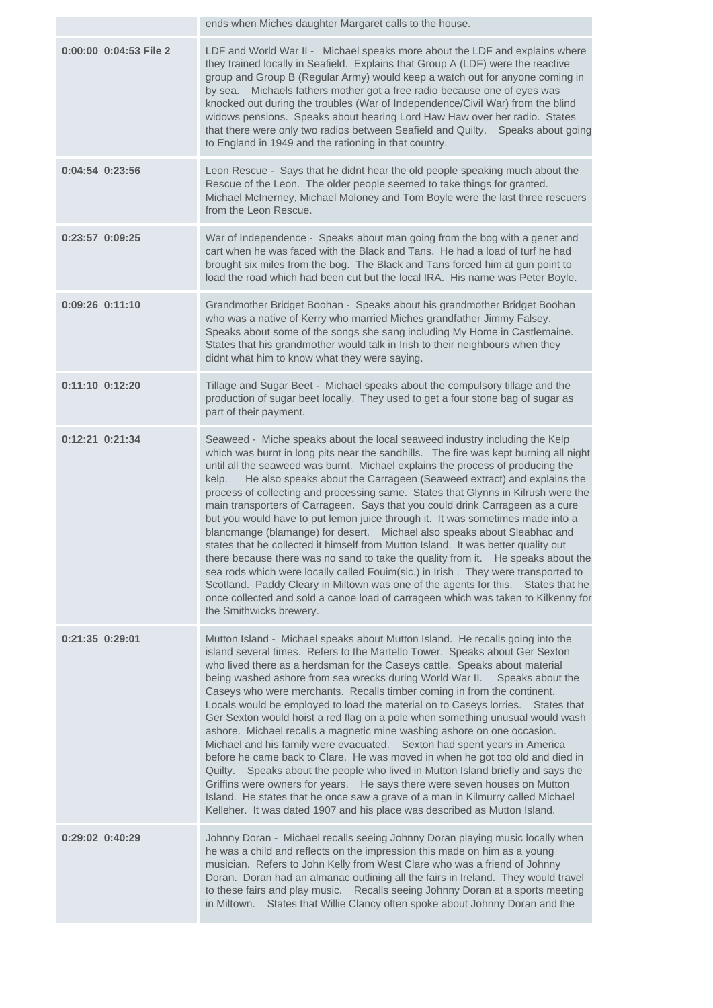|                        | ends when Miches daughter Margaret calls to the house.                                                                                                                                                                                                                                                                                                                                                                                                                                                                                                                                                                                                                                                                                                                                                                                                                                                                                                                                                                                                                                                                                            |
|------------------------|---------------------------------------------------------------------------------------------------------------------------------------------------------------------------------------------------------------------------------------------------------------------------------------------------------------------------------------------------------------------------------------------------------------------------------------------------------------------------------------------------------------------------------------------------------------------------------------------------------------------------------------------------------------------------------------------------------------------------------------------------------------------------------------------------------------------------------------------------------------------------------------------------------------------------------------------------------------------------------------------------------------------------------------------------------------------------------------------------------------------------------------------------|
| 0:00:00 0:04:53 File 2 | LDF and World War II - Michael speaks more about the LDF and explains where<br>they trained locally in Seafield. Explains that Group A (LDF) were the reactive<br>group and Group B (Regular Army) would keep a watch out for anyone coming in<br>by sea. Michaels fathers mother got a free radio because one of eyes was<br>knocked out during the troubles (War of Independence/Civil War) from the blind<br>widows pensions. Speaks about hearing Lord Haw Haw over her radio. States<br>that there were only two radios between Seafield and Quilty.  Speaks about going<br>to England in 1949 and the rationing in that country.                                                                                                                                                                                                                                                                                                                                                                                                                                                                                                            |
| $0:04:54$ $0:23:56$    | Leon Rescue - Says that he didnt hear the old people speaking much about the<br>Rescue of the Leon. The older people seemed to take things for granted.<br>Michael McInerney, Michael Moloney and Tom Boyle were the last three rescuers<br>from the Leon Rescue.                                                                                                                                                                                                                                                                                                                                                                                                                                                                                                                                                                                                                                                                                                                                                                                                                                                                                 |
| $0:23:57$ $0:09:25$    | War of Independence - Speaks about man going from the bog with a genet and<br>cart when he was faced with the Black and Tans. He had a load of turf he had<br>brought six miles from the bog. The Black and Tans forced him at gun point to<br>load the road which had been cut but the local IRA. His name was Peter Boyle.                                                                                                                                                                                                                                                                                                                                                                                                                                                                                                                                                                                                                                                                                                                                                                                                                      |
| $0:09:26$ $0:11:10$    | Grandmother Bridget Boohan - Speaks about his grandmother Bridget Boohan<br>who was a native of Kerry who married Miches grandfather Jimmy Falsey.<br>Speaks about some of the songs she sang including My Home in Castlemaine.<br>States that his grandmother would talk in Irish to their neighbours when they<br>didnt what him to know what they were saying.                                                                                                                                                                                                                                                                                                                                                                                                                                                                                                                                                                                                                                                                                                                                                                                 |
| 0:11:10 0:12:20        | Tillage and Sugar Beet - Michael speaks about the compulsory tillage and the<br>production of sugar beet locally. They used to get a four stone bag of sugar as<br>part of their payment.                                                                                                                                                                                                                                                                                                                                                                                                                                                                                                                                                                                                                                                                                                                                                                                                                                                                                                                                                         |
| 0:12:21 0:21:34        | Seaweed - Miche speaks about the local seaweed industry including the Kelp<br>which was burnt in long pits near the sandhills. The fire was kept burning all night<br>until all the seaweed was burnt. Michael explains the process of producing the<br>He also speaks about the Carrageen (Seaweed extract) and explains the<br>kelp.<br>process of collecting and processing same. States that Glynns in Kilrush were the<br>main transporters of Carrageen. Says that you could drink Carrageen as a cure<br>but you would have to put lemon juice through it. It was sometimes made into a<br>blancmange (blamange) for desert.  Michael also speaks about Sleabhac and<br>states that he collected it himself from Mutton Island. It was better quality out<br>there because there was no sand to take the quality from it. He speaks about the<br>sea rods which were locally called Fouim(sic.) in Irish. They were transported to<br>Scotland. Paddy Cleary in Miltown was one of the agents for this. States that he<br>once collected and sold a canoe load of carrageen which was taken to Kilkenny for<br>the Smithwicks brewery.     |
| $0:21:35$ $0:29:01$    | Mutton Island - Michael speaks about Mutton Island. He recalls going into the<br>island several times. Refers to the Martello Tower. Speaks about Ger Sexton<br>who lived there as a herdsman for the Caseys cattle. Speaks about material<br>being washed ashore from sea wrecks during World War II.  Speaks about the<br>Caseys who were merchants. Recalls timber coming in from the continent.<br>Locals would be employed to load the material on to Caseys lorries. States that<br>Ger Sexton would hoist a red flag on a pole when something unusual would wash<br>ashore. Michael recalls a magnetic mine washing ashore on one occasion.<br>Michael and his family were evacuated. Sexton had spent years in America<br>before he came back to Clare. He was moved in when he got too old and died in<br>Speaks about the people who lived in Mutton Island briefly and says the<br>Quilty.<br>Griffins were owners for years. He says there were seven houses on Mutton<br>Island. He states that he once saw a grave of a man in Kilmurry called Michael<br>Kelleher. It was dated 1907 and his place was described as Mutton Island. |
| 0:29:02 0:40:29        | Johnny Doran - Michael recalls seeing Johnny Doran playing music locally when<br>he was a child and reflects on the impression this made on him as a young<br>musician. Refers to John Kelly from West Clare who was a friend of Johnny<br>Doran. Doran had an almanac outlining all the fairs in Ireland. They would travel<br>to these fairs and play music.  Recalls seeing Johnny Doran at a sports meeting<br>States that Willie Clancy often spoke about Johnny Doran and the<br>in Miltown.                                                                                                                                                                                                                                                                                                                                                                                                                                                                                                                                                                                                                                                |